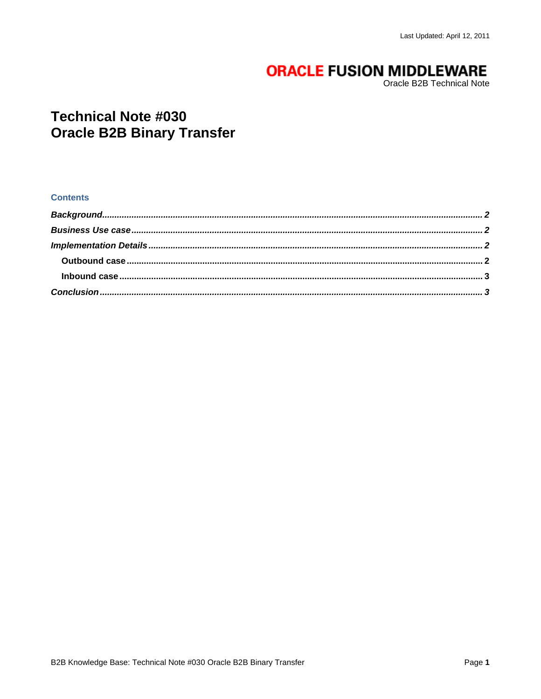# **ORACLE FUSION MIDDLEWARE**

Oracle B2B Technical Note

# **Technical Note #030 Oracle B2B Binary Transfer**

#### **Contents**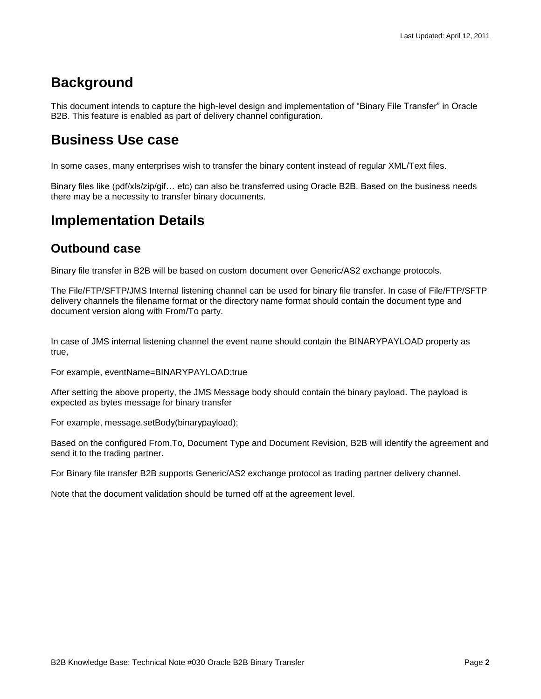# <span id="page-1-0"></span>**Background**

This document intends to capture the high-level design and implementation of "Binary File Transfer" in Oracle B2B. This feature is enabled as part of delivery channel configuration.

## <span id="page-1-1"></span>**Business Use case**

In some cases, many enterprises wish to transfer the binary content instead of regular XML/Text files.

Binary files like (pdf/xls/zip/gif… etc) can also be transferred using Oracle B2B. Based on the business needs there may be a necessity to transfer binary documents.

### <span id="page-1-2"></span>**Implementation Details**

#### <span id="page-1-3"></span>**Outbound case**

Binary file transfer in B2B will be based on custom document over Generic/AS2 exchange protocols.

The File/FTP/SFTP/JMS Internal listening channel can be used for binary file transfer. In case of File/FTP/SFTP delivery channels the filename format or the directory name format should contain the document type and document version along with From/To party.

In case of JMS internal listening channel the event name should contain the BINARYPAYLOAD property as true,

For example, eventName=BINARYPAYLOAD:true

After setting the above property, the JMS Message body should contain the binary payload. The payload is expected as bytes message for binary transfer

For example, message.setBody(binarypayload);

Based on the configured From,To, Document Type and Document Revision, B2B will identify the agreement and send it to the trading partner.

For Binary file transfer B2B supports Generic/AS2 exchange protocol as trading partner delivery channel.

Note that the document validation should be turned off at the agreement level.